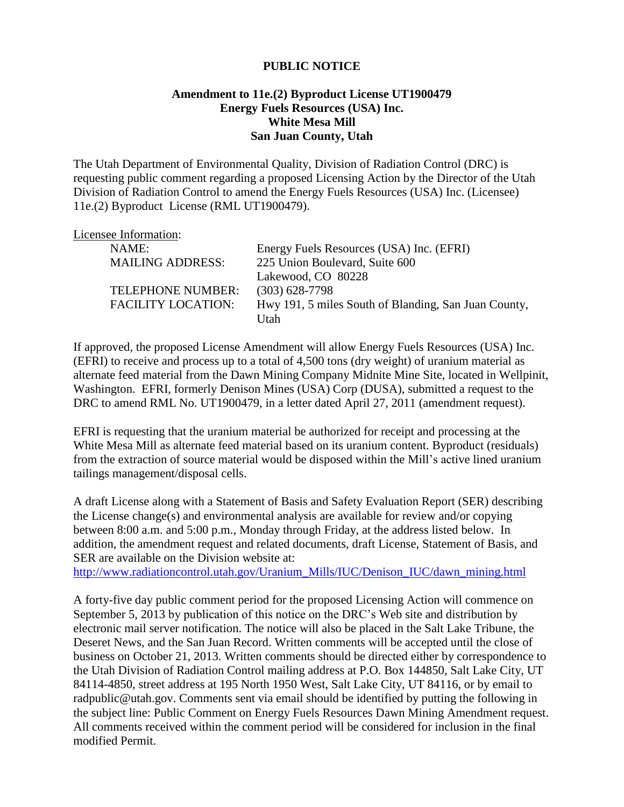## **PUBLIC NOTICE**

## **Amendment to 11e.(2) Byproduct License UT1900479 Energy Fuels Resources (USA) Inc. White Mesa Mill San Juan County, Utah**

The Utah Department of Environmental Quality, Division of Radiation Control (DRC) is requesting public comment regarding a proposed Licensing Action by the Director of the Utah Division of Radiation Control to amend the Energy Fuels Resources (USA) Inc. (Licensee) 11e.(2) Byproduct License (RML UT1900479).

## Licensee Information:

| NAME:                     | Energy Fuels Resources (USA) Inc. (EFRI)             |
|---------------------------|------------------------------------------------------|
| <b>MAILING ADDRESS:</b>   | 225 Union Boulevard, Suite 600                       |
|                           | Lakewood, CO 80228                                   |
| <b>TELEPHONE NUMBER:</b>  | $(303)$ 628-7798                                     |
| <b>FACILITY LOCATION:</b> | Hwy 191, 5 miles South of Blanding, San Juan County, |
|                           | I Itah                                               |

If approved, the proposed License Amendment will allow Energy Fuels Resources (USA) Inc. (EFRI) to receive and process up to a total of 4,500 tons (dry weight) of uranium material as alternate feed material from the Dawn Mining Company Midnite Mine Site, located in Wellpinit, Washington. EFRI, formerly Denison Mines (USA) Corp (DUSA), submitted a request to the DRC to amend RML No. UT1900479, in a letter dated April 27, 2011 (amendment request).

EFRI is requesting that the uranium material be authorized for receipt and processing at the White Mesa Mill as alternate feed material based on its uranium content. Byproduct (residuals) from the extraction of source material would be disposed within the Mill's active lined uranium tailings management/disposal cells.

A draft License along with a Statement of Basis and Safety Evaluation Report (SER) describing the License change(s) and environmental analysis are available for review and/or copying between 8:00 a.m. and 5:00 p.m., Monday through Friday, at the address listed below. In addition, the amendment request and related documents, draft License, Statement of Basis, and SER are available on the Division website at:

[http://www.radiationcontrol.utah.gov/Uranium\\_Mills/IUC/Denison\\_IUC/dawn\\_mining.html](http://www.radiationcontrol.utah.gov/Uranium_Mills/IUC/Denison_IUC/dawn_mining.html)

A forty-five day public comment period for the proposed Licensing Action will commence on September 5, 2013 by publication of this notice on the DRC's Web site and distribution by electronic mail server notification. The notice will also be placed in the Salt Lake Tribune, the Deseret News, and the San Juan Record. Written comments will be accepted until the close of business on October 21, 2013. Written comments should be directed either by correspondence to the Utah Division of Radiation Control mailing address at P.O. Box 144850, Salt Lake City, UT 84114-4850, street address at 195 North 1950 West, Salt Lake City, UT 84116, or by email to radpublic@utah.gov. Comments sent via email should be identified by putting the following in the subject line: Public Comment on Energy Fuels Resources Dawn Mining Amendment request. All comments received within the comment period will be considered for inclusion in the final modified Permit.